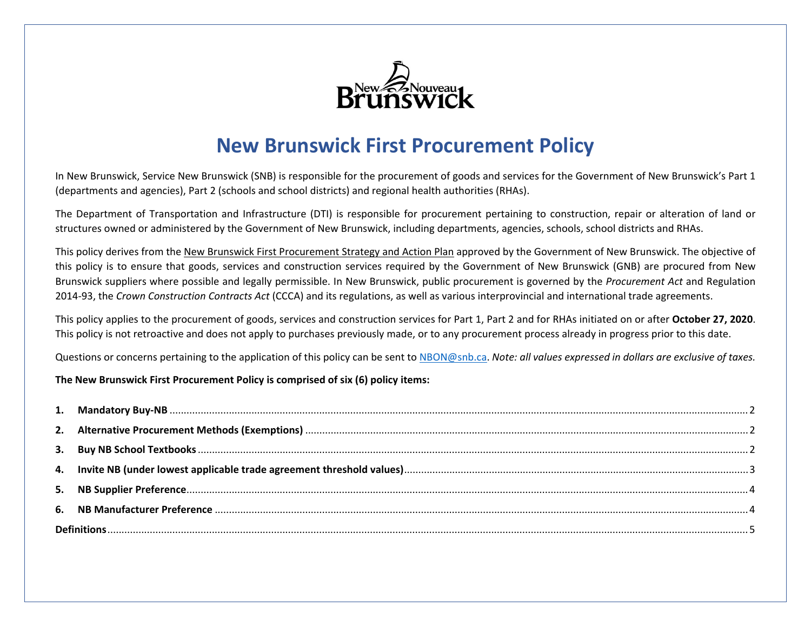

# **New Brunswick First Procurement Policy**

In New Brunswick, Service New Brunswick (SNB) is responsible for the procurement of goods and services for the Government of New Brunswick's Part 1 (departments and agencies), Part 2 (schools and school districts) and regional health authorities (RHAs).

The Department of Transportation and Infrastructure (DTI) is responsible for procurement pertaining to construction, repair or alteration of land or structures owned or administered by the Government of New Brunswick, including departments, agencies, schools, school districts and RHAs.

This policy derives from the New Brunswick First Procurement Strategy and Action Plan approved by the Government of New Brunswick. The objective of this policy is to ensure that goods, services and construction services required by the Government of New Brunswick (GNB) are procured from New Brunswick suppliers where possible and legally permissible. In New Brunswick, public procurement is governed by the *Procurement Act* and Regulation 2014-93, the *Crown Construction Contracts Act* (CCCA) and its regulations, as well as various interprovincial and international trade agreements.

This policy applies to the procurement of goods, services and construction services for Part 1, Part 2 and for RHAs initiated on or after **October 27, 2020**. This policy is not retroactive and does not apply to purchases previously made, or to any procurement process already in progress prior to this date.

Questions or concerns pertaining to the application of this policy can be sent t[o NBON@snb.ca.](mailto:NBON@snb.ca) *Note: all values expressed in dollars are exclusive of taxes.* 

#### **The New Brunswick First Procurement Policy is comprised of six (6) policy items:**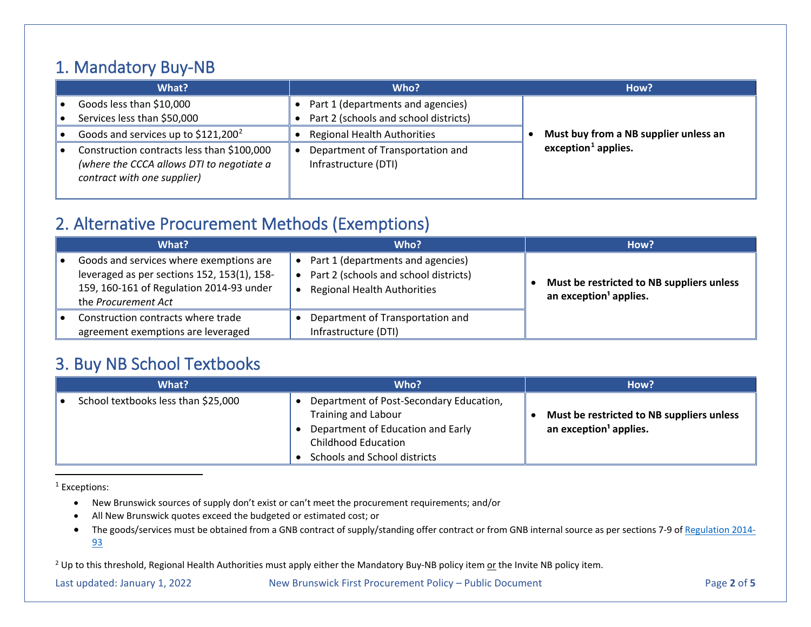#### <span id="page-1-4"></span><span id="page-1-3"></span><span id="page-1-0"></span>1. Mandatory Buy-NB

| What?                                                                                                                  | Who?                                                                         | How?                                  |
|------------------------------------------------------------------------------------------------------------------------|------------------------------------------------------------------------------|---------------------------------------|
| Goods less than \$10,000<br>Services less than \$50,000                                                                | • Part 1 (departments and agencies)<br>Part 2 (schools and school districts) |                                       |
| Goods and services up to \$121,200 <sup>2</sup>                                                                        | <b>Regional Health Authorities</b>                                           | Must buy from a NB supplier unless an |
| Construction contracts less than \$100,000<br>(where the CCCA allows DTI to negotiate a<br>contract with one supplier) | Department of Transportation and<br>Infrastructure (DTI)                     | exception <sup>1</sup> applies.       |

## <span id="page-1-1"></span>2. Alternative Procurement Methods (Exemptions)

| What?                                                                                                                                                     | Who?                                                                                                             | How?                                                                            |
|-----------------------------------------------------------------------------------------------------------------------------------------------------------|------------------------------------------------------------------------------------------------------------------|---------------------------------------------------------------------------------|
| Goods and services where exemptions are<br>leveraged as per sections 152, 153(1), 158-<br>159, 160-161 of Regulation 2014-93 under<br>the Procurement Act | Part 1 (departments and agencies)<br>Part 2 (schools and school districts)<br><b>Regional Health Authorities</b> | Must be restricted to NB suppliers unless<br>an exception <sup>1</sup> applies. |
| Construction contracts where trade<br>agreement exemptions are leveraged                                                                                  | Department of Transportation and<br>Infrastructure (DTI)                                                         |                                                                                 |

#### <span id="page-1-2"></span>3. Buy NB School Textbooks

| What?                               | Who?                                                                                                                                                                     | How?                                                                            |
|-------------------------------------|--------------------------------------------------------------------------------------------------------------------------------------------------------------------------|---------------------------------------------------------------------------------|
| School textbooks less than \$25,000 | Department of Post-Secondary Education,<br><b>Training and Labour</b><br>Department of Education and Early<br><b>Childhood Education</b><br>Schools and School districts | Must be restricted to NB suppliers unless<br>an exception <sup>1</sup> applies. |

<sup>1</sup> Exceptions:

- New Brunswick sources of supply don't exist or can't meet the procurement requirements; and/or
- All New Brunswick quotes exceed the budgeted or estimated cost; or
- The goods/services must be obtained from a GNB contract of supply/standing offer contract or from GNB internal source as per sections 7-9 of [Regulation 2014-](http://laws.gnb.ca/en/ShowPdf/cr/2014-93.pdf) [93](http://laws.gnb.ca/en/ShowPdf/cr/2014-93.pdf)

<sup>2</sup> Up to this threshold, Regional Health Authorities must apply either the Mandatory Buy-NB policy item or the Invite NB policy item.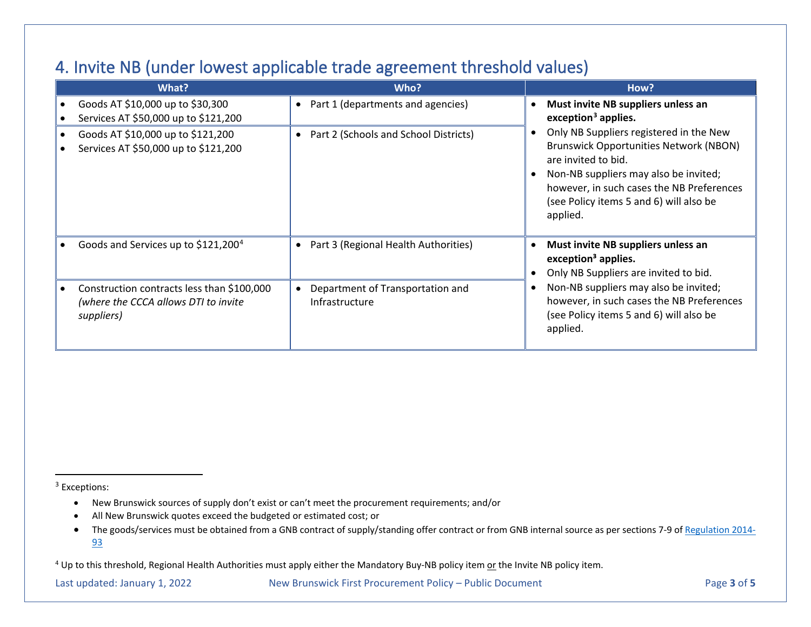#### <span id="page-2-2"></span><span id="page-2-1"></span><span id="page-2-0"></span>4. Invite NB (under lowest applicable trade agreement threshold values)

| What?                                                                                            | Who?                                                            | How?                                                                                                                                                                                                                                                         |
|--------------------------------------------------------------------------------------------------|-----------------------------------------------------------------|--------------------------------------------------------------------------------------------------------------------------------------------------------------------------------------------------------------------------------------------------------------|
| Goods AT \$10,000 up to \$30,300<br>Services AT \$50,000 up to \$121,200                         | Part 1 (departments and agencies)                               | Must invite NB suppliers unless an<br>exception <sup>3</sup> applies.                                                                                                                                                                                        |
| Goods AT \$10,000 up to \$121,200<br>Services AT \$50,000 up to \$121,200                        | Part 2 (Schools and School Districts)                           | Only NB Suppliers registered in the New<br><b>Brunswick Opportunities Network (NBON)</b><br>are invited to bid.<br>Non-NB suppliers may also be invited;<br>however, in such cases the NB Preferences<br>(see Policy items 5 and 6) will also be<br>applied. |
| Goods and Services up to \$121,200 <sup>4</sup>                                                  | Part 3 (Regional Health Authorities)<br>$\bullet$               | Must invite NB suppliers unless an<br>exception <sup>3</sup> applies.<br>Only NB Suppliers are invited to bid.                                                                                                                                               |
| Construction contracts less than \$100,000<br>(where the CCCA allows DTI to invite<br>suppliers) | Department of Transportation and<br>$\bullet$<br>Infrastructure | Non-NB suppliers may also be invited;<br>however, in such cases the NB Preferences<br>(see Policy items 5 and 6) will also be<br>applied.                                                                                                                    |

<sup>3</sup> Exceptions:

- New Brunswick sources of supply don't exist or can't meet the procurement requirements; and/or
- All New Brunswick quotes exceed the budgeted or estimated cost; or
- The goods/services must be obtained from a GNB contract of supply/standing offer contract or from GNB internal source as per sections 7-9 of [Regulation 2014-](http://laws.gnb.ca/en/ShowPdf/cr/2014-93.pdf) [93](http://laws.gnb.ca/en/ShowPdf/cr/2014-93.pdf)

<sup>4</sup> Up to this threshold, Regional Health Authorities must apply either the Mandatory Buy-NB policy item or the Invite NB policy item.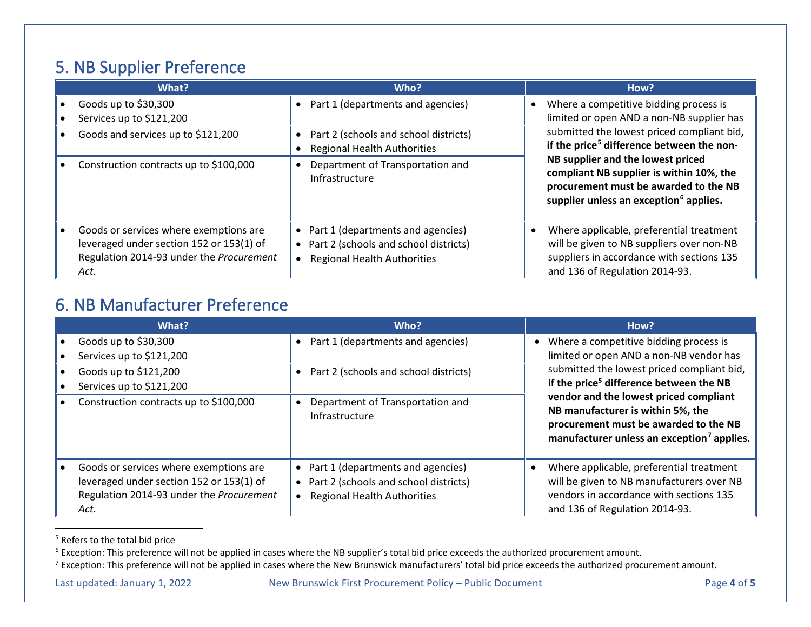## <span id="page-3-4"></span><span id="page-3-3"></span><span id="page-3-2"></span><span id="page-3-0"></span>5. NB Supplier Preference

| What?                                                                                                                                  | Who?                                                                                                                                         | How?                                                                                                                                                                                                                                                                                                                                                                       |
|----------------------------------------------------------------------------------------------------------------------------------------|----------------------------------------------------------------------------------------------------------------------------------------------|----------------------------------------------------------------------------------------------------------------------------------------------------------------------------------------------------------------------------------------------------------------------------------------------------------------------------------------------------------------------------|
| Goods up to \$30,300                                                                                                                   | Part 1 (departments and agencies)<br>$\bullet$                                                                                               | Where a competitive bidding process is<br>limited or open AND a non-NB supplier has<br>submitted the lowest priced compliant bid,<br>if the price <sup>5</sup> difference between the non-<br>NB supplier and the lowest priced<br>compliant NB supplier is within 10%, the<br>procurement must be awarded to the NB<br>supplier unless an exception <sup>6</sup> applies. |
| Services up to \$121,200<br>Goods and services up to \$121,200<br>Construction contracts up to \$100,000                               | Part 2 (schools and school districts)<br>$\bullet$<br><b>Regional Health Authorities</b><br>Department of Transportation and                 |                                                                                                                                                                                                                                                                                                                                                                            |
|                                                                                                                                        | Infrastructure                                                                                                                               |                                                                                                                                                                                                                                                                                                                                                                            |
| Goods or services where exemptions are<br>leveraged under section 152 or 153(1) of<br>Regulation 2014-93 under the Procurement<br>Act. | • Part 1 (departments and agencies)<br>Part 2 (schools and school districts)<br>$\bullet$<br><b>Regional Health Authorities</b><br>$\bullet$ | Where applicable, preferential treatment<br>will be given to NB suppliers over non-NB<br>suppliers in accordance with sections 135<br>and 136 of Regulation 2014-93.                                                                                                                                                                                                       |

#### <span id="page-3-1"></span>6. NB Manufacturer Preference

| What?                                                                                                                                  | Who?                                                                                                                            | How?                                                                                                                                                                                                                                  |
|----------------------------------------------------------------------------------------------------------------------------------------|---------------------------------------------------------------------------------------------------------------------------------|---------------------------------------------------------------------------------------------------------------------------------------------------------------------------------------------------------------------------------------|
| Goods up to \$30,300                                                                                                                   | Part 1 (departments and agencies)                                                                                               | Where a competitive bidding process is                                                                                                                                                                                                |
| Services up to \$121,200                                                                                                               |                                                                                                                                 | limited or open AND a non-NB vendor has                                                                                                                                                                                               |
| Goods up to \$121,200                                                                                                                  | Part 2 (schools and school districts)                                                                                           | submitted the lowest priced compliant bid,                                                                                                                                                                                            |
| Services up to \$121,200                                                                                                               |                                                                                                                                 | if the price <sup>5</sup> difference between the NB<br>vendor and the lowest priced compliant<br>NB manufacturer is within 5%, the<br>procurement must be awarded to the NB<br>manufacturer unless an exception <sup>7</sup> applies. |
| Construction contracts up to \$100,000                                                                                                 | Department of Transportation and<br>Infrastructure                                                                              |                                                                                                                                                                                                                                       |
| Goods or services where exemptions are<br>leveraged under section 152 or 153(1) of<br>Regulation 2014-93 under the Procurement<br>Act. | • Part 1 (departments and agencies)<br>Part 2 (schools and school districts)<br>$\bullet$<br><b>Regional Health Authorities</b> | Where applicable, preferential treatment<br>will be given to NB manufacturers over NB<br>vendors in accordance with sections 135<br>and 136 of Regulation 2014-93.                                                                    |

<sup>5</sup> Refers to the total bid price

<sup>6</sup> Exception: This preference will not be applied in cases where the NB supplier's total bid price exceeds the authorized procurement amount.

<sup>&</sup>lt;sup>7</sup> Exception: This preference will not be applied in cases where the New Brunswick manufacturers' total bid price exceeds the authorized procurement amount.